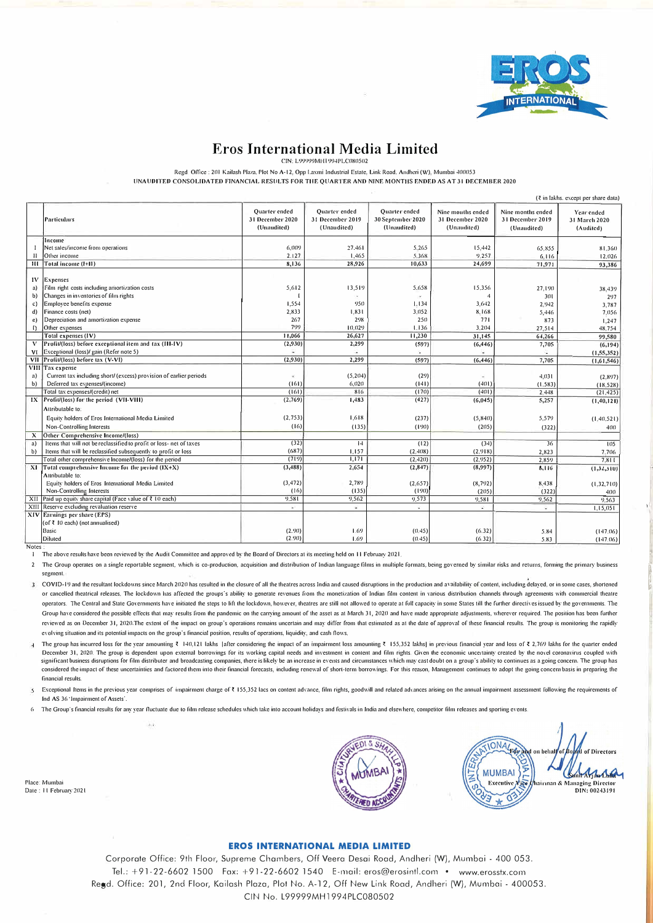

## **Eros International Media Limited**

CIN: L99999MFH 994PLC080502

Regd. Office: 201 Kailash Plaza, Plot No A-12, Opp Laxmi Industrial Estate, Link Road, Andheri (W), Mumbai 400053

l/NAl/lllTEll CONSOLIDATED FINANCIAL RESllLTS FOR TIIE QllARTER AND NINE MONTHS ENDED AS AT 31 DECEMllER 2020

|              | (₹ in lakhs, except per share data)                                 |                                                         |                                                         |                                                          |                                                      |                                                      |                                          |
|--------------|---------------------------------------------------------------------|---------------------------------------------------------|---------------------------------------------------------|----------------------------------------------------------|------------------------------------------------------|------------------------------------------------------|------------------------------------------|
|              | Particulars                                                         | <b>Ouarter</b> ended<br>31 December 2020<br>(Unaudited) | <b>Ouarter</b> ended<br>31 December 2019<br>(Unaudited) | <b>Ouarter</b> ended<br>30 September 2020<br>(Unaudited) | Nine mouths ended<br>31 December 2020<br>(Unaudited) | Nine months ended<br>31 December 2019<br>(Unaudited) | Year ended<br>31 March 2020<br>(Audited) |
|              | Income                                                              |                                                         |                                                         |                                                          |                                                      |                                                      |                                          |
|              | Net sales/income from operations                                    | 6,009                                                   | 27,461                                                  | 5.265                                                    | 15,442                                               | 65,855                                               | 81.360                                   |
| $\mathbf{1}$ | Other income                                                        | 2.127                                                   | 1,465                                                   | 5.368                                                    | 9.257                                                | 6,116                                                | 12.026                                   |
|              | III Total income (1+11)                                             | 8,136                                                   | 28,926                                                  | 10,633                                                   | 24,699                                               | 71,971                                               | 93,386                                   |
|              |                                                                     |                                                         |                                                         |                                                          |                                                      |                                                      |                                          |
| IV           | Expenses                                                            |                                                         |                                                         |                                                          |                                                      |                                                      |                                          |
| a)           | Film right costs including amortization costs                       | 5,612                                                   | 13,519                                                  | 5.658                                                    | 15.356                                               | 27.190                                               | 38,439                                   |
| b)           | Changes in inventories of film rights                               |                                                         |                                                         |                                                          |                                                      | 301                                                  | 297                                      |
| c)           | Employee benefits expense                                           | 1,554                                                   | 950                                                     | 1.134                                                    | 3,642                                                | 2.942                                                | 3.787                                    |
| d)           | Finance costs (net)                                                 | 2,833                                                   | 1,831                                                   | 3.052                                                    | 8.168                                                | 5,446                                                | 7,056                                    |
| e)           | Depreciation and amortization expense                               | 267                                                     | 298                                                     | 250                                                      | 771                                                  | 873                                                  | 1,247                                    |
| $\Omega$     | Other expenses                                                      | 799                                                     | 10.029                                                  | 1.136                                                    | 3,204                                                | 27,514                                               | 48.754                                   |
|              | Total expenses (IV)                                                 | 11,066                                                  | 26,627                                                  | 11,230                                                   | 31,145                                               | 64,266                                               | 99,580                                   |
|              | V Profit/(loss) before exceptional item and tax (III-IV)            | (2,930)                                                 | 2,299                                                   | (597)                                                    | (6, 446)                                             | 7,705                                                | (6, 194)                                 |
|              | VI Exceptional (loss)/ gain (Refer note 5)                          |                                                         |                                                         |                                                          |                                                      |                                                      | (1, 55, 352)                             |
|              | VII Profit/(loss) before tax (V-VI)                                 | (2,930)                                                 | 2,299                                                   | (597)                                                    | (6, 446)                                             | 7,705                                                | (1,61,546)                               |
|              | VIII Tax expense                                                    |                                                         |                                                         |                                                          |                                                      |                                                      |                                          |
| a)           | Current tax including short/ (excess) provision of earlier periods  | ×                                                       | (5,204)                                                 | (29)                                                     | $\tilde{\phantom{a}}$                                | 4.031                                                | (2,897)                                  |
| b)           | Deferred tax expenses/(income)                                      | (161)                                                   | 6,020                                                   | (141)                                                    | (401)                                                | (1.583)                                              | (18.528)                                 |
|              | Total tax expenses/(credit) net                                     | (161)                                                   | 816                                                     | (170)                                                    | (401)                                                | 2.448                                                | (21, 425)                                |
|              | IX Profit/(loss) for the period (VII-VIII)                          | (2,769)                                                 | 1,483                                                   | (427)                                                    | (6,045)                                              | 5,257                                                | (1,40,121)                               |
|              | Attributable to:                                                    |                                                         |                                                         |                                                          |                                                      |                                                      |                                          |
|              | Equity holders of Eros International Media Limited                  | (2.753)                                                 | 1,618                                                   | (237)                                                    | (5,840)                                              | 5,579                                                | (1.40.521)                               |
|              | Non-Controlling Interests                                           | (16)                                                    | (135)                                                   | (190)                                                    | (205)                                                | (322)                                                | 400                                      |
| х            | Other Comprehensive Income/(loss)                                   |                                                         |                                                         |                                                          |                                                      |                                                      |                                          |
| a)           | Items that will not be reclassified to profit or loss- net of taxes | (32)                                                    | 14                                                      | (12)                                                     | (34)                                                 | 36                                                   | 105                                      |
| b)           | Items that will be reclassified subsequently to profit or loss      | (687)                                                   | 1,157                                                   | (2.408)                                                  | (2.918)                                              | 2,823                                                | 7.706                                    |
|              | Total other comprehensive Income/(loss) for the period              | (719)                                                   | 1.171                                                   | (2,420)                                                  | (2,952)                                              | 2,859                                                | 7.811                                    |
|              | $X1$ Total comprehensive Income for the period $(IX+X)$             | (3, 488)                                                | 2,654                                                   | (2,847)                                                  | (8,997)                                              | 8,116                                                | (1,32,310)                               |
|              | Attributable to:                                                    |                                                         |                                                         |                                                          |                                                      |                                                      |                                          |
|              | Equity holders of Eros International Media Limited                  | (3, 472)                                                | 2,789                                                   | (2.657)                                                  | (8, 792)                                             | 8,438                                                | (1.32, 710)                              |
|              | Non-Controlling Interests                                           | (16)                                                    | (135)                                                   | (190)                                                    | (205)                                                | (322)                                                | 4(1()                                    |
|              | XII Paid up equity share capital (Face value of $\bar{x}$ 10 each)  | 9,581                                                   | 9.562                                                   | 9.573                                                    | 9,581                                                | 9,562                                                | 9.563                                    |
|              | XIII Reserve excluding revaluation reserve                          | ×.                                                      | W.                                                      | $\sim$                                                   | œ                                                    | $\sim$                                               | 1,15,051                                 |
|              | XIV Earnings per share (EPS)                                        |                                                         |                                                         |                                                          |                                                      |                                                      |                                          |
|              | (of ₹ I0 each) (not annualised)                                     |                                                         |                                                         |                                                          |                                                      |                                                      |                                          |
|              | Basic                                                               | (2.90)                                                  | 1.69                                                    | (0.45)                                                   | (6.32)                                               | 5.84                                                 | (147.06)                                 |
|              | Diluted                                                             | (2.90)                                                  | 1.69                                                    | (0.45)                                                   | (6.32)                                               | 5.83                                                 | (147.06)                                 |
| <b>Notes</b> |                                                                     |                                                         |                                                         |                                                          |                                                      |                                                      |                                          |

The above results have been reviewed by the Audit Committee and approved by the Board of Directors at its meeting held on 11 February 2021.

2 The Group operates on a single reportable segment, which is co-production, acquisition and distribution of Indian language films in multiple formats, being governed by similar risks and returns, forming the primary busin segment.

3 COVID-19 and the resultant lockdowns since March 2020 has resulted in the closure of all the theatres across India and caused disruptions in the production and availability of content, including delayed, or in some cases or cancelled theatrical releases. The lockdown has affected the groups's ability to generate revenues from the monetization of Indian film content in various distribution channels through agreements with commercial theatre operators. The Central and State Governments have initiated the steps to lift the lockdown, however, theatres are still not allowed to operate at full capacity in some States till the further directives issued by the gover Group have considered the possible effects that may results from the pandemic on the carrying amount of the asset as at March 31, 2020 and have made appropriate adjustments, wherever required. The position has been further reviewed as on December 31, 2020. The extent of the impact on group's operations remains uncertain and may differ from that estimated as at the date of approval of these financial results. The group is monitoring the rapid evolving situation and its potential impacts on the group's financial position, results of operations, liquidity, and cash flows.

4 The group has incurred loss for the year amounting ₹ 140,121 lakhs |after considering the impact of an impairment loss amounting ₹ 155,352 lakhs| in previous financial year and loss of ₹ 2,769 lakhs for the quarter ende December 31, 2020. The group is dependent upon external borrowings for its working capital needs and investment in content and film rights. Given the economic uncertainty created by the novel coronavirus coupled with significant business disruptions for film distributer and broadcasting companies, there is likely be an increase in events and circumstances which may cast doubt on a group's ability to continues as a going concern. The gr considered the impact of these uncertainties and factored them into their financial forecasts, including renewal of short-term borrowings. For this reason, Management continues to adopt the going concern basis in preparing financial results.

Exceptional Items in the previous year comprises of impairment charge of ₹ 155,352 lacs on content advance, film rights, goodwill and related advances arising on the annual impairment assessment following the requirements 5 Ind AS 36 'Impairment of Assets'.

6 The Group's financial results for any year fluctuate due to film release schedules which take into account holidays and festivals in India and elsewhere, competitor film releases and sporting events.

Place: Mumbai Dale: 11 February 2021



IONAL FOR of Directors **MUMBAI** mit Aridu Cup Executive Nice hainnan **&** M:tnaging Director **DIN:** 00243191 ń

11

ij

## **EROS INTERNATIONAL MEDIA LIMITED**

Corporate Office: 9th Floor, Supreme Chambers, Off Veera Desai Road, Andheri (W), Mumbai - 400 053. Tel.: +91-22-6602 1500 Fax: +91-22-6602 1540 E-mail: eros@erosintl.com • www.erosstx.com Regd. Office: 201, 2nd Floor, Kailash Plaza, Plot No. A-12, Off New Link Road, Andheri (W), Mumbai - 400053. CIN No, L99999MH1994PLC080502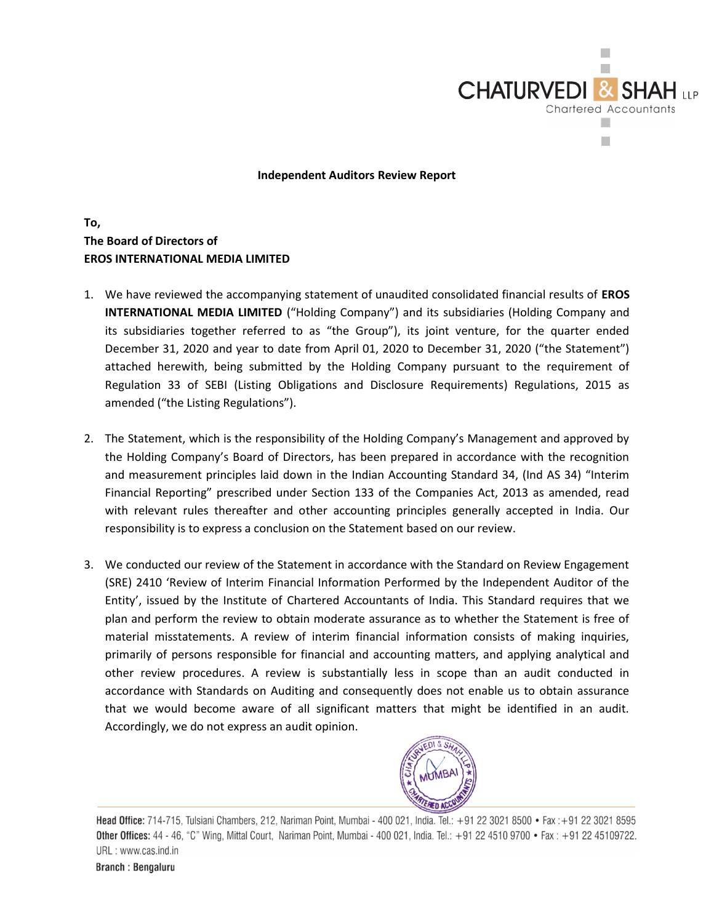

Independent Auditors Review Report

## To, The Board of Directors of EROS INTERNATIONAL MEDIA LIMITED

- 1. We have reviewed the accompanying statement of unaudited consolidated financial results of EROS INTERNATIONAL MEDIA LIMITED ("Holding Company") and its subsidiaries (Holding Company and its subsidiaries together referred to as "the Group"), its joint venture, for the quarter ended December 31, 2020 and year to date from April 01, 2020 to December 31, 2020 ("the Statement") attached herewith, being submitted by the Holding Company pursuant to the requirement of Regulation 33 of SEBI (Listing Obligations and Disclosure Requirements) Regulations, 2015 as amended ("the Listing Regulations").
- 2. The Statement, which is the responsibility of the Holding Company's Management and approved by the Holding Company's Board of Directors, has been prepared in accordance with the recognition and measurement principles laid down in the Indian Accounting Standard 34, (Ind AS 34) "Interim Financial Reporting" prescribed under Section 133 of the Companies Act, 2013 as amended, read with relevant rules thereafter and other accounting principles generally accepted in India. Our responsibility is to express a conclusion on the Statement based on our review.
- 3. We conducted our review of the Statement in accordance with the Standard on Review Engagement (SRE) 2410 'Review of Interim Financial Information Performed by the Independent Auditor of the Entity', issued by the Institute of Chartered Accountants of India. This Standard requires that we plan and perform the review to obtain moderate assurance as to whether the Statement is free of material misstatements. A review of interim financial information consists of making inquiries, primarily of persons responsible for financial and accounting matters, and applying analytical and other review procedures. A review is substantially less in scope than an audit conducted in accordance with Standards on Auditing and consequently does not enable us to obtain assurance that we would become aware of all significant matters that might be identified in an audit. Accordingly, we do not express an audit opinion.



Head Office: 714-715, Tulsiani Chambers, 212, Nariman Point, Mumbai - 400 021, India. Tel.: +91 22 3021 8500 • Fax: +91 22 3021 8595 Other Offices: 44 - 46, "C" Wing, Mittal Court, Nariman Point, Mumbai - 400 021, India. Tel.: +91 22 4510 9700 • Fax: +91 22 45109722. URL: www.cas.ind.in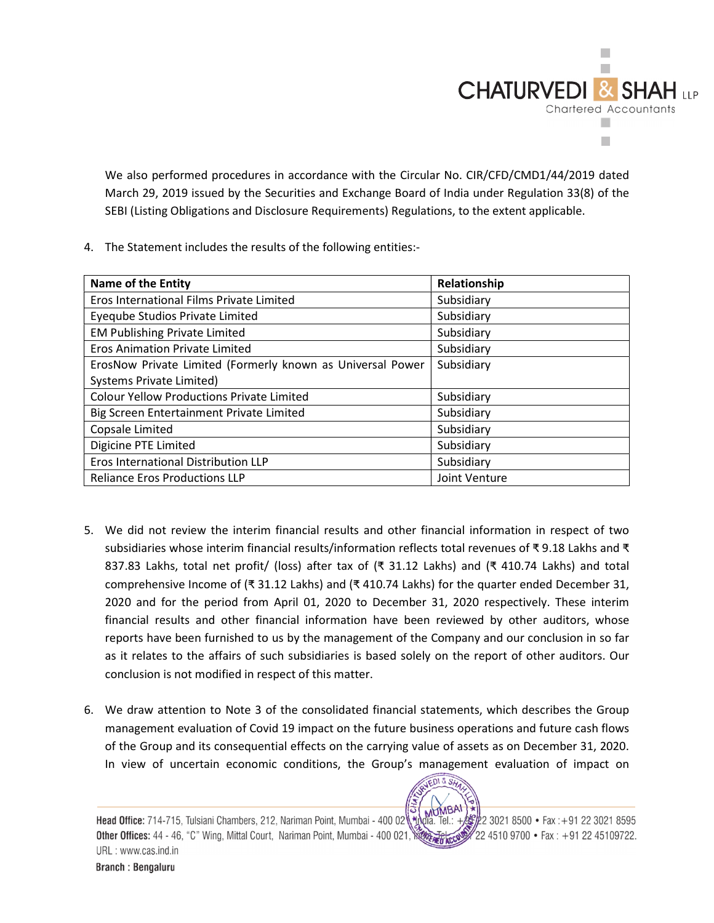

We also performed procedures in accordance with the Circular No. CIR/CFD/CMD1/44/2019 dated March 29, 2019 issued by the Securities and Exchange Board of India under Regulation 33(8) of the SEBI (Listing Obligations and Disclosure Requirements) Regulations, to the extent applicable.

4. The Statement includes the results of the following entities:-

| <b>Name of the Entity</b>                                  | Relationship  |
|------------------------------------------------------------|---------------|
| Eros International Films Private Limited                   | Subsidiary    |
| Eyeqube Studios Private Limited                            | Subsidiary    |
| <b>EM Publishing Private Limited</b>                       | Subsidiary    |
| <b>Eros Animation Private Limited</b>                      | Subsidiary    |
| ErosNow Private Limited (Formerly known as Universal Power | Subsidiary    |
| Systems Private Limited)                                   |               |
| <b>Colour Yellow Productions Private Limited</b>           | Subsidiary    |
| Big Screen Entertainment Private Limited                   | Subsidiary    |
| Copsale Limited                                            | Subsidiary    |
| Digicine PTE Limited                                       | Subsidiary    |
| Eros International Distribution LLP                        | Subsidiary    |
| <b>Reliance Eros Productions LLP</b>                       | Joint Venture |

- 5. We did not review the interim financial results and other financial information in respect of two subsidiaries whose interim financial results/information reflects total revenues of ₹ 9.18 Lakhs and ₹ 837.83 Lakhs, total net profit/ (loss) after tax of (₹ 31.12 Lakhs) and (₹ 410.74 Lakhs) and total comprehensive Income of (₹ 31.12 Lakhs) and (₹ 410.74 Lakhs) for the quarter ended December 31, 2020 and for the period from April 01, 2020 to December 31, 2020 respectively. These interim financial results and other financial information have been reviewed by other auditors, whose reports have been furnished to us by the management of the Company and our conclusion in so far as it relates to the affairs of such subsidiaries is based solely on the report of other auditors. Our conclusion is not modified in respect of this matter.
- 6. We draw attention to Note 3 of the consolidated financial statements, which describes the Group management evaluation of Covid 19 impact on the future business operations and future cash flows of the Group and its consequential effects on the carrying value of assets as on December 31, 2020. In view of uncertain economic conditions, the Group's management evaluation of impact on

 $8S<sub>k</sub>$